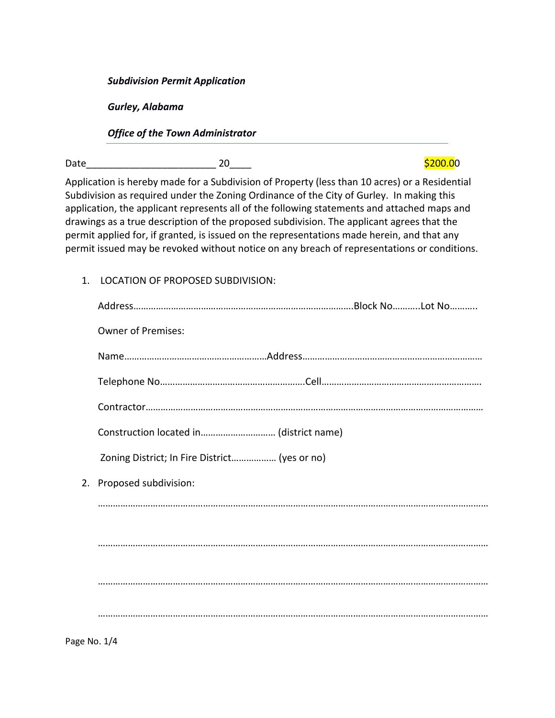*Subdivision Permit Application* 

*Gurley, Alabama* 

*Office of the Town Administrator* 

Date\_\_\_\_\_\_\_\_\_\_\_\_\_\_\_\_\_\_\_\_\_\_\_\_ 20\_\_\_\_ \$200.00

Application is hereby made for a Subdivision of Property (less than 10 acres) or a Residential Subdivision as required under the Zoning Ordinance of the City of Gurley. In making this application, the applicant represents all of the following statements and attached maps and drawings as a true description of the proposed subdivision. The applicant agrees that the permit applied for, if granted, is issued on the representations made herein, and that any permit issued may be revoked without notice on any breach of representations or conditions.

| 1. LOCATION OF PROPOSED SUBDIVISION:          |  |  |  |
|-----------------------------------------------|--|--|--|
|                                               |  |  |  |
| <b>Owner of Premises:</b>                     |  |  |  |
|                                               |  |  |  |
|                                               |  |  |  |
|                                               |  |  |  |
| Construction located in (district name)       |  |  |  |
| Zoning District; In Fire District (yes or no) |  |  |  |
| 2. Proposed subdivision:                      |  |  |  |
|                                               |  |  |  |
|                                               |  |  |  |
|                                               |  |  |  |
|                                               |  |  |  |
|                                               |  |  |  |
|                                               |  |  |  |

Page No. 1/4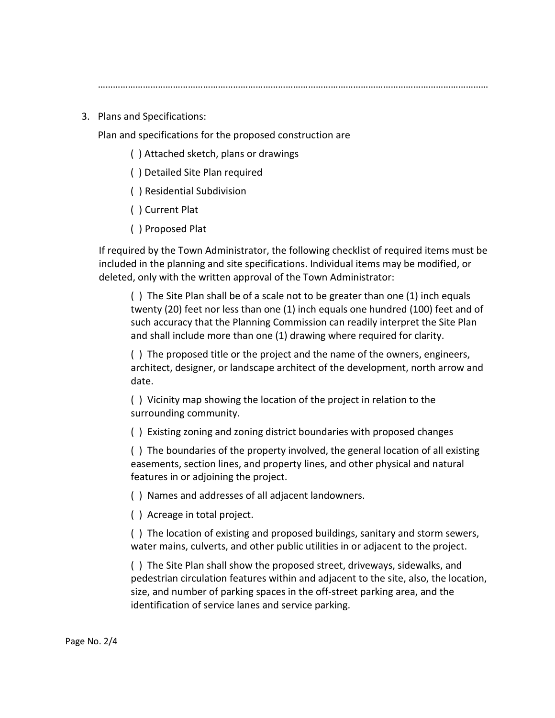…………………………………………………………………………………………………………………………………………

3. Plans and Specifications:

Plan and specifications for the proposed construction are

- ( ) Attached sketch, plans or drawings
- ( ) Detailed Site Plan required
- ( ) Residential Subdivision
- ( ) Current Plat
- ( ) Proposed Plat

If required by the Town Administrator, the following checklist of required items must be included in the planning and site specifications. Individual items may be modified, or deleted, only with the written approval of the Town Administrator:

( ) The Site Plan shall be of a scale not to be greater than one (1) inch equals twenty (20) feet nor less than one (1) inch equals one hundred (100) feet and of such accuracy that the Planning Commission can readily interpret the Site Plan and shall include more than one (1) drawing where required for clarity.

( ) The proposed title or the project and the name of the owners, engineers, architect, designer, or landscape architect of the development, north arrow and date.

( ) Vicinity map showing the location of the project in relation to the surrounding community.

( ) Existing zoning and zoning district boundaries with proposed changes

( ) The boundaries of the property involved, the general location of all existing easements, section lines, and property lines, and other physical and natural features in or adjoining the project.

( ) Names and addresses of all adjacent landowners.

( ) Acreage in total project.

( ) The location of existing and proposed buildings, sanitary and storm sewers, water mains, culverts, and other public utilities in or adjacent to the project.

( ) The Site Plan shall show the proposed street, driveways, sidewalks, and pedestrian circulation features within and adjacent to the site, also, the location, size, and number of parking spaces in the off-street parking area, and the identification of service lanes and service parking.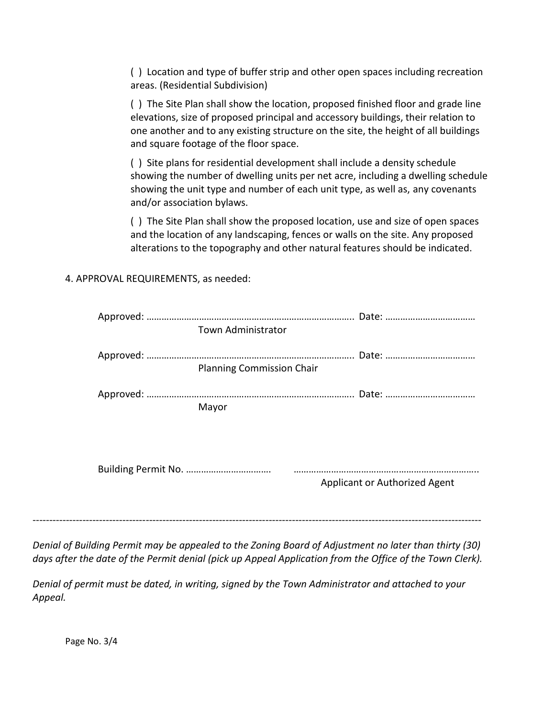( ) Location and type of buffer strip and other open spaces including recreation areas. (Residential Subdivision)

( ) The Site Plan shall show the location, proposed finished floor and grade line elevations, size of proposed principal and accessory buildings, their relation to one another and to any existing structure on the site, the height of all buildings and square footage of the floor space.

( ) Site plans for residential development shall include a density schedule showing the number of dwelling units per net acre, including a dwelling schedule showing the unit type and number of each unit type, as well as, any covenants and/or association bylaws.

( ) The Site Plan shall show the proposed location, use and size of open spaces and the location of any landscaping, fences or walls on the site. Any proposed alterations to the topography and other natural features should be indicated.

4. APPROVAL REQUIREMENTS, as needed:

|  | Town Administrator               |                               |
|--|----------------------------------|-------------------------------|
|  | <b>Planning Commission Chair</b> |                               |
|  | Mayor                            |                               |
|  |                                  | Applicant or Authorized Agent |

*Denial of Building Permit may be appealed to the Zoning Board of Adjustment no later than thirty (30) days after the date of the Permit denial (pick up Appeal Application from the Office of the Town Clerk).* 

*Denial of permit must be dated, in writing, signed by the Town Administrator and attached to your Appeal.* 

Page No. 3/4